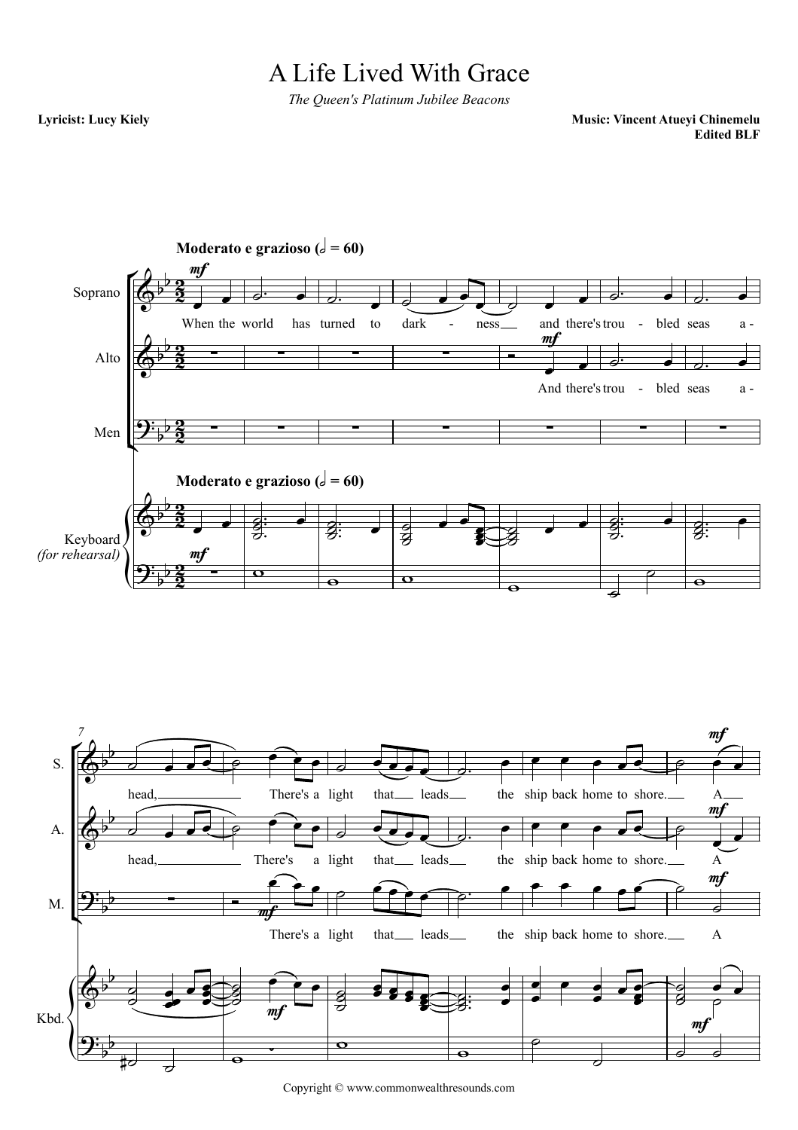## A Life Lived With Grace

*The Queen's Platinum Jubilee Beacons*

**Lyricist: Lucy Kiely**

**Music: Vincent Atueyi Chinemelu Edited BLF**



Copyright © www.commonwealthresounds.com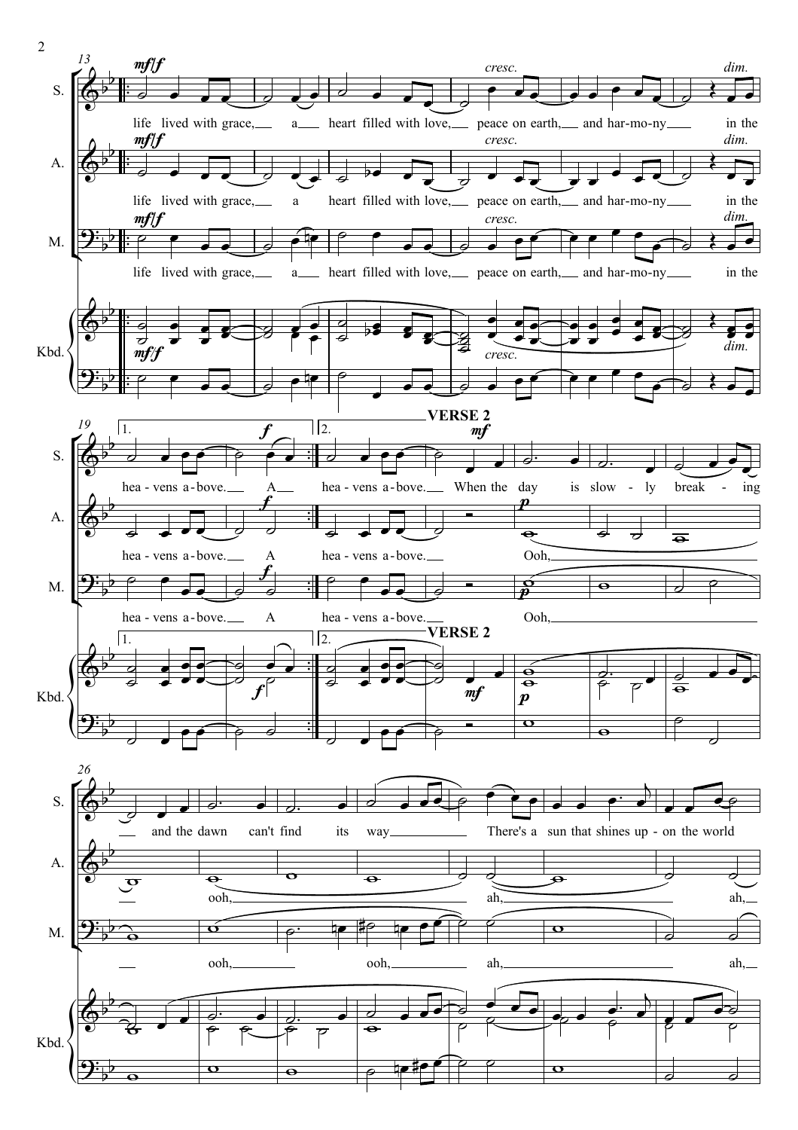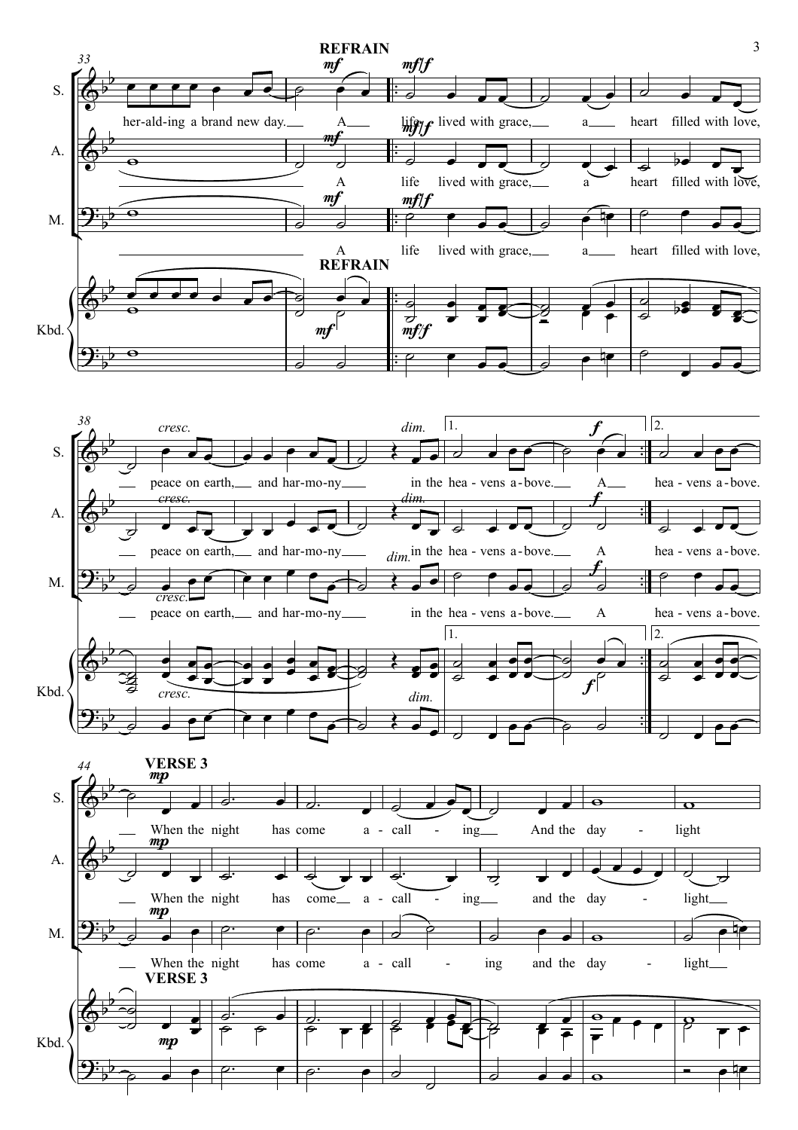



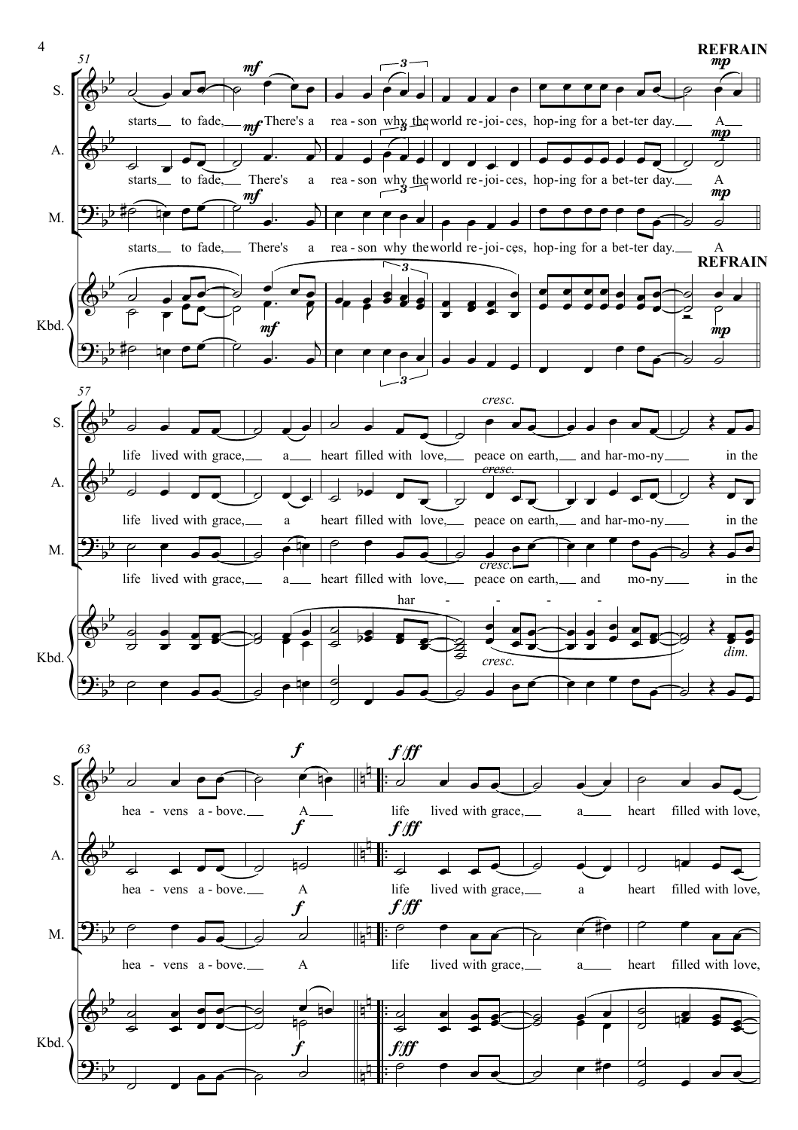